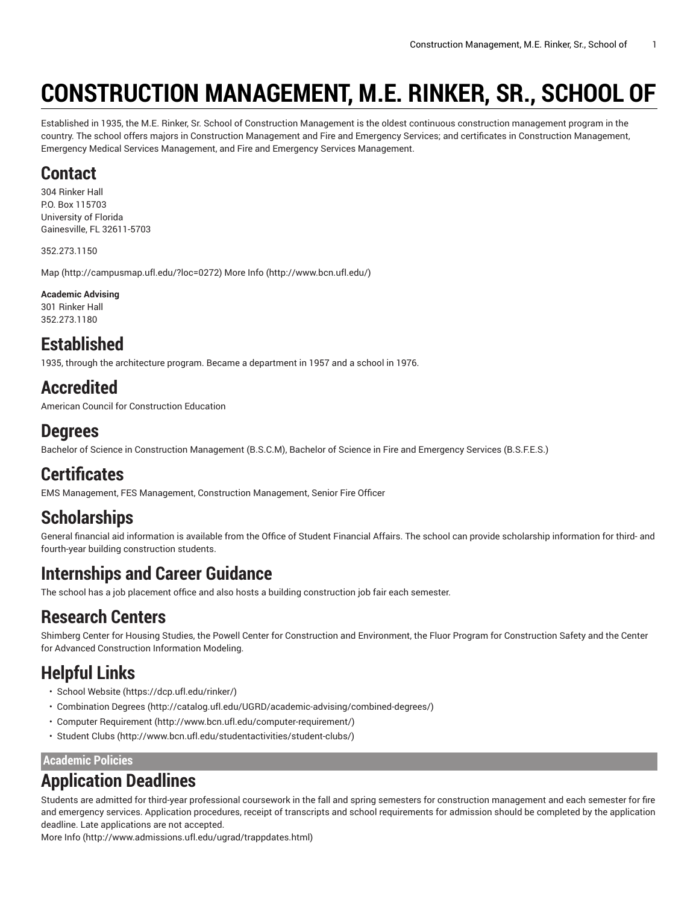# **CONSTRUCTION MANAGEMENT, M.E. RINKER, SR., SCHOOL OF**

Established in 1935, the M.E. Rinker, Sr. School of Construction Management is the oldest continuous construction management program in the country. The school offers majors in Construction Management and Fire and Emergency Services; and certificates in Construction Management, Emergency Medical Services Management, and Fire and Emergency Services Management.

### **Contact**

304 Rinker Hall P.O. Box 115703 University of Florida Gainesville, FL 32611-5703

352.273.1150

[Map](http://campusmap.ufl.edu/?loc=0272) ([http://campusmap.ufl.edu/?loc=0272\)](http://campusmap.ufl.edu/?loc=0272) [More](http://www.bcn.ufl.edu/) Info (<http://www.bcn.ufl.edu/>)

#### **Academic Advising**

301 Rinker Hall 352.273.1180

## **Established**

1935, through the architecture program. Became a department in 1957 and a school in 1976.

# **Accredited**

American Council for Construction Education

#### **Degrees**

Bachelor of Science in Construction Management (B.S.C.M), Bachelor of Science in Fire and Emergency Services (B.S.F.E.S.)

# **Certificates**

EMS Management, FES Management, Construction Management, Senior Fire Officer

# **Scholarships**

General financial aid information is available from the Office of Student Financial Affairs. The school can provide scholarship information for third- and fourth-year building construction students.

# **Internships and Career Guidance**

The school has a job placement office and also hosts a building construction job fair each semester.

### **Research Centers**

Shimberg Center for Housing Studies, the Powell Center for Construction and Environment, the Fluor Program for Construction Safety and the Center for Advanced Construction Information Modeling.

# **Helpful Links**

- School [Website \(https://dcp.ufl.edu/rinker/\)](https://dcp.ufl.edu/rinker/)
- [Combination](http://catalog.ufl.edu/UGRD/academic-advising/combined-degrees/) Degrees (<http://catalog.ufl.edu/UGRD/academic-advising/combined-degrees/>)
- Computer [Requirement](http://www.bcn.ufl.edu/computer-requirement/) [\(http://www.bcn.ufl.edu/computer-requirement/](http://www.bcn.ufl.edu/computer-requirement/))
- [Student Clubs \(http://www.bcn.ufl.edu/studentactivities/student-clubs/\)](http://www.bcn.ufl.edu/studentactivities/student-clubs/)

**Academic Policies**

# **Application Deadlines**

Students are admitted for third-year professional coursework in the fall and spring semesters for construction management and each semester for fire and emergency services. Application procedures, receipt of transcripts and school requirements for admission should be completed by the application deadline. Late applications are not accepted.

[More](http://www.admissions.ufl.edu/ugrad/trappdates.html) Info [\(http://www.admissions.ufl.edu/ugrad/trappdates.html\)](http://www.admissions.ufl.edu/ugrad/trappdates.html)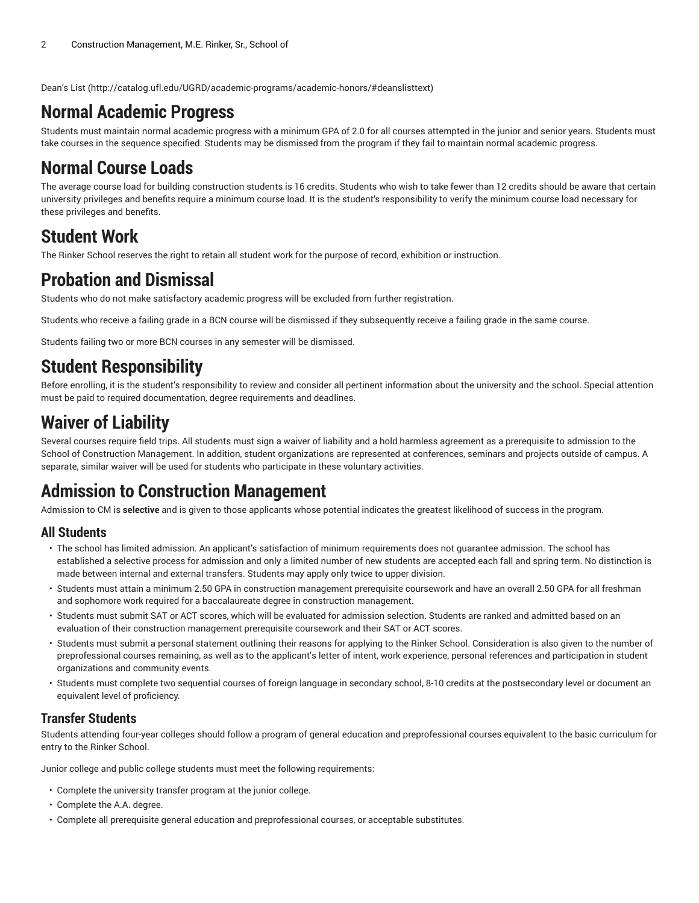[Dean's](http://catalog.ufl.edu/UGRD/academic-programs/academic-honors/#deanslisttext) List (<http://catalog.ufl.edu/UGRD/academic-programs/academic-honors/#deanslisttext>)

### **Normal Academic Progress**

Students must maintain normal academic progress with a minimum GPA of 2.0 for all courses attempted in the junior and senior years. Students must take courses in the sequence specified. Students may be dismissed from the program if they fail to maintain normal academic progress.

### **Normal Course Loads**

The average course load for building construction students is 16 credits. Students who wish to take fewer than 12 credits should be aware that certain university privileges and benefits require a minimum course load. It is the student's responsibility to verify the minimum course load necessary for these privileges and benefits.

## **Student Work**

The Rinker School reserves the right to retain all student work for the purpose of record, exhibition or instruction.

### **Probation and Dismissal**

Students who do not make satisfactory academic progress will be excluded from further registration.

Students who receive a failing grade in a BCN course will be dismissed if they subsequently receive a failing grade in the same course.

Students failing two or more BCN courses in any semester will be dismissed.

# **Student Responsibility**

Before enrolling, it is the student's responsibility to review and consider all pertinent information about the university and the school. Special attention must be paid to required documentation, degree requirements and deadlines.

## **Waiver of Liability**

Several courses require field trips. All students must sign a waiver of liability and a hold harmless agreement as a prerequisite to admission to the School of Construction Management. In addition, student organizations are represented at conferences, seminars and projects outside of campus. A separate, similar waiver will be used for students who participate in these voluntary activities.

# **Admission to Construction Management**

Admission to CM is **selective** and is given to those applicants whose potential indicates the greatest likelihood of success in the program.

#### **All Students**

- The school has limited admission. An applicant's satisfaction of minimum requirements does not guarantee admission. The school has established a selective process for admission and only a limited number of new students are accepted each fall and spring term. No distinction is made between internal and external transfers. Students may apply only twice to upper division.
- Students must attain a minimum 2.50 GPA in construction management prerequisite coursework and have an overall 2.50 GPA for all freshman and sophomore work required for a baccalaureate degree in construction management.
- Students must submit SAT or ACT scores, which will be evaluated for admission selection. Students are ranked and admitted based on an evaluation of their construction management prerequisite coursework and their SAT or ACT scores.
- Students must submit a personal statement outlining their reasons for applying to the Rinker School. Consideration is also given to the number of preprofessional courses remaining, as well as to the applicant's letter of intent, work experience, personal references and participation in student organizations and community events.
- Students must complete two sequential courses of foreign language in secondary school, 8-10 credits at the postsecondary level or document an equivalent level of proficiency.

#### **Transfer Students**

Students attending four-year colleges should follow a program of general education and preprofessional courses equivalent to the basic curriculum for entry to the Rinker School.

Junior college and public college students must meet the following requirements:

- Complete the university transfer program at the junior college.
- Complete the A.A. degree.
- Complete all prerequisite general education and preprofessional courses, or acceptable substitutes.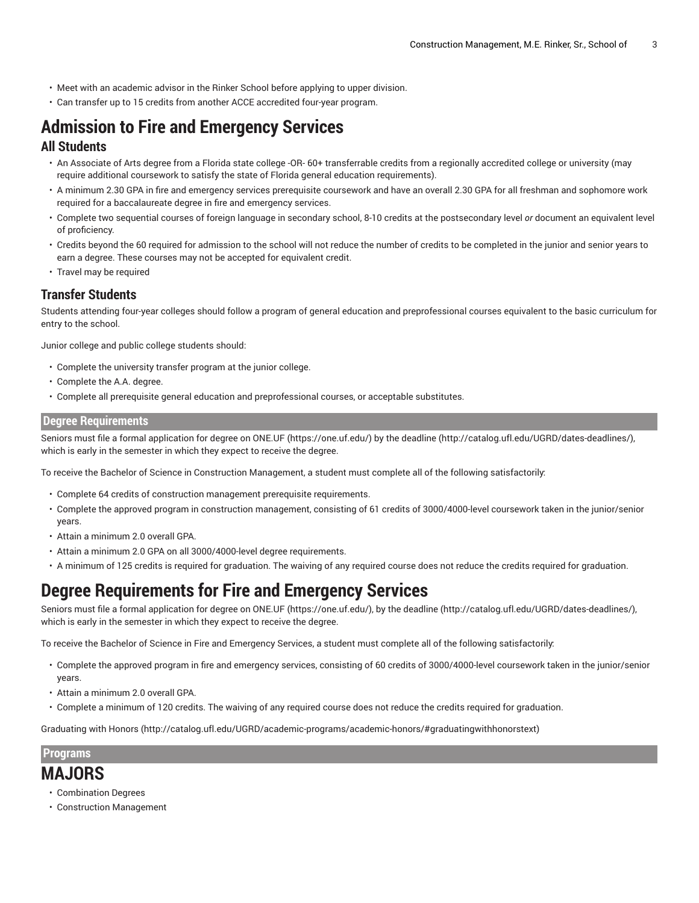- Meet with an academic advisor in the Rinker School before applying to upper division.
- Can transfer up to 15 credits from another ACCE accredited four-year program.

# **Admission to Fire and Emergency Services**

#### **All Students**

- An Associate of Arts degree from a Florida state college -OR- 60+ transferrable credits from a regionally accredited college or university (may require additional coursework to satisfy the state of Florida general education requirements).
- A minimum 2.30 GPA in fire and emergency services prerequisite coursework and have an overall 2.30 GPA for all freshman and sophomore work required for a baccalaureate degree in fire and emergency services.
- Complete two sequential courses of foreign language in secondary school, 8-10 credits at the postsecondary level *or* document an equivalent level of proficiency.
- Credits beyond the 60 required for admission to the school will not reduce the number of credits to be completed in the junior and senior years to earn a degree. These courses may not be accepted for equivalent credit.
- Travel may be required

#### **Transfer Students**

Students attending four-year colleges should follow a program of general education and preprofessional courses equivalent to the basic curriculum for entry to the school.

Junior college and public college students should:

- Complete the university transfer program at the junior college.
- Complete the A.A. degree.
- Complete all prerequisite general education and preprofessional courses, or acceptable substitutes.

#### **Degree Requirements**

Seniors must file a formal application for degree on [ONE.UF \(https://one.uf.edu/](https://one.uf.edu/)) by the [deadline](http://catalog.ufl.edu/UGRD/dates-deadlines/) (<http://catalog.ufl.edu/UGRD/dates-deadlines/>), which is early in the semester in which they expect to receive the degree.

To receive the Bachelor of Science in Construction Management, a student must complete all of the following satisfactorily:

- Complete 64 credits of construction management prerequisite requirements.
- Complete the approved program in construction management, consisting of 61 credits of 3000/4000-level coursework taken in the junior/senior years.
- Attain a minimum 2.0 overall GPA.
- Attain a minimum 2.0 GPA on all 3000/4000-level degree requirements.
- A minimum of 125 credits is required for graduation. The waiving of any required course does not reduce the credits required for graduation.

### **Degree Requirements for Fire and Emergency Services**

Seniors must file a formal application for degree on [ONE.UF \(https://one.uf.edu/](https://one.uf.edu/)), by the [deadline](http://catalog.ufl.edu/UGRD/dates-deadlines/) ([http://catalog.ufl.edu/UGRD/dates-deadlines/\)](http://catalog.ufl.edu/UGRD/dates-deadlines/), which is early in the semester in which they expect to receive the degree.

To receive the Bachelor of Science in Fire and Emergency Services, a student must complete all of the following satisfactorily:

- Complete the approved program in fire and emergency services, consisting of 60 credits of 3000/4000-level coursework taken in the junior/senior years.
- Attain a minimum 2.0 overall GPA.
- Complete a minimum of 120 credits. The waiving of any required course does not reduce the credits required for graduation.

[Graduating with Honors](http://catalog.ufl.edu/UGRD/academic-programs/academic-honors/#graduatingwithhonorstext) [\(http://catalog.ufl.edu/UGRD/academic-programs/academic-honors/#graduatingwithhonorstext](http://catalog.ufl.edu/UGRD/academic-programs/academic-honors/#graduatingwithhonorstext))

#### **Programs**

#### **MAJORS**

- Combination Degrees
- Construction Management